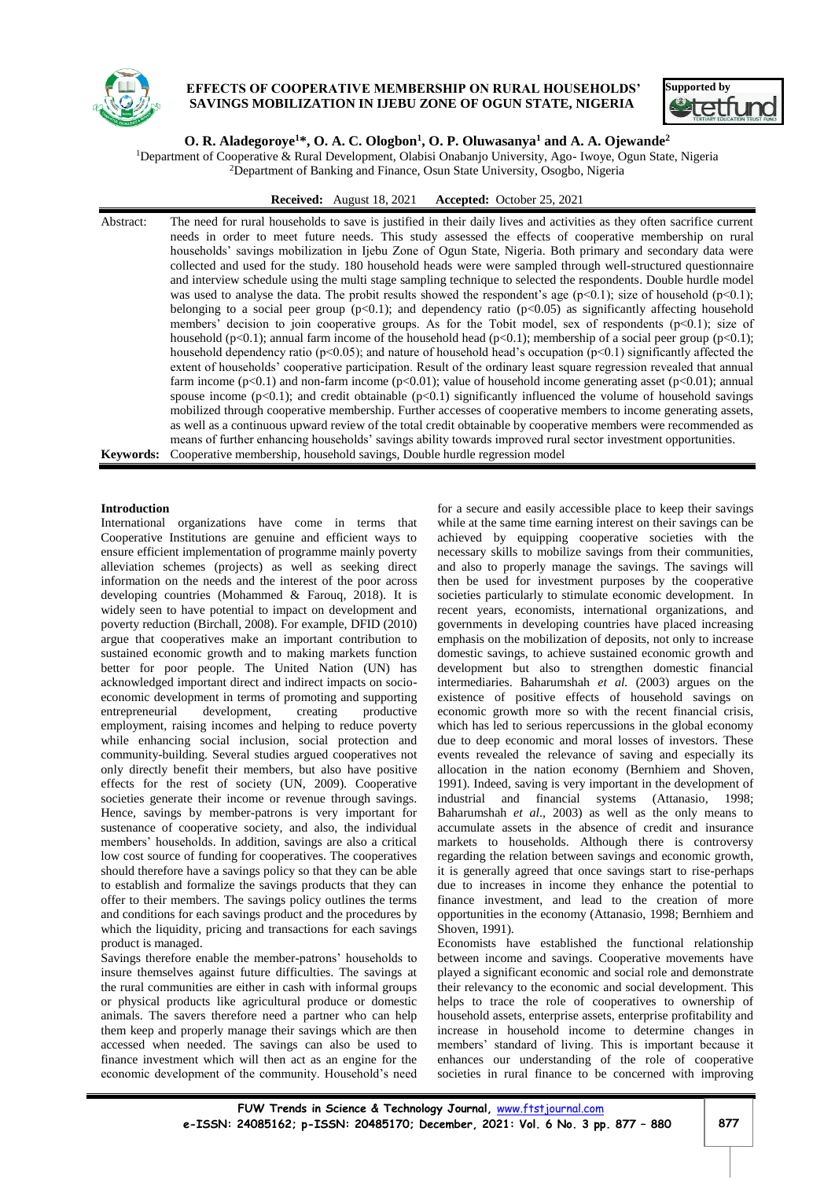

# **EFFECTS OF COOPERATIVE MEMBERSHIP ON RURAL HOUSEHOLDS' SAVINGS MOBILIZATION IN IJEBU ZONE OF OGUN STATE, NIGERIA**



# **O. R. Aladegoroye<sup>1</sup>\*, O. A. C. Ologbon<sup>1</sup> , O. P. Oluwasanya<sup>1</sup> and A. A. Ojewande<sup>2</sup>**

<sup>1</sup>Department of Cooperative & Rural Development, Olabisi Onabanjo University, Ago- Iwoye, Ogun State, Nigeria <sup>2</sup>Department of Banking and Finance, Osun State University, Osogbo, Nigeria

**Received:** August 18, 2021 **Accepted:** October 25, 2021

Abstract: The need for rural households to save is justified in their daily lives and activities as they often sacrifice current needs in order to meet future needs. This study assessed the effects of cooperative membership on rural households' savings mobilization in Ijebu Zone of Ogun State, Nigeria. Both primary and secondary data were collected and used for the study. 180 household heads were were sampled through well-structured questionnaire and interview schedule using the multi stage sampling technique to selected the respondents. Double hurdle model was used to analyse the data. The probit results showed the respondent's age ( $p<0.1$ ); size of household ( $p<0.1$ ); belonging to a social peer group  $(p<0.1)$ ; and dependency ratio  $(p<0.05)$  as significantly affecting household members' decision to join cooperative groups. As for the Tobit model, sex of respondents (p<0.1); size of household (p<0.1); annual farm income of the household head (p<0.1); membership of a social peer group (p<0.1); household dependency ratio (p<0.05); and nature of household head's occupation (p<0.1) significantly affected the extent of households' cooperative participation. Result of the ordinary least square regression revealed that annual farm income  $(p<0.1)$  and non-farm income  $(p<0.01)$ ; value of household income generating asset  $(p<0.01)$ ; annual spouse income  $(p<0.1)$ ; and credit obtainable  $(p<0.1)$  significantly influenced the volume of household savings mobilized through cooperative membership. Further accesses of cooperative members to income generating assets, as well as a continuous upward review of the total credit obtainable by cooperative members were recommended as means of further enhancing households' savings ability towards improved rural sector investment opportunities. **Keywords:** Cooperative membership, household savings, Double hurdle regression model

## **Introduction**

International organizations have come in terms that Cooperative Institutions are genuine and efficient ways to ensure efficient implementation of programme mainly poverty alleviation schemes (projects) as well as seeking direct information on the needs and the interest of the poor across developing countries (Mohammed & Farouq, 2018). It is widely seen to have potential to impact on development and poverty reduction (Birchall, 2008). For example, DFID (2010) argue that cooperatives make an important contribution to sustained economic growth and to making markets function better for poor people. The United Nation (UN) has acknowledged important direct and indirect impacts on socioeconomic development in terms of promoting and supporting entrepreneurial development, creating productive employment, raising incomes and helping to reduce poverty while enhancing social inclusion, social protection and community-building. Several studies argued cooperatives not only directly benefit their members, but also have positive effects for the rest of society (UN, 2009). Cooperative societies generate their income or revenue through savings. Hence, savings by member-patrons is very important for sustenance of cooperative society, and also, the individual members' households. In addition, savings are also a critical low cost source of funding for cooperatives. The cooperatives should therefore have a savings policy so that they can be able to establish and formalize the savings products that they can offer to their members. The savings policy outlines the terms and conditions for each savings product and the procedures by which the liquidity, pricing and transactions for each savings product is managed.

Savings therefore enable the member-patrons' households to insure themselves against future difficulties. The savings at the rural communities are either in cash with informal groups or physical products like agricultural produce or domestic animals. The savers therefore need a partner who can help them keep and properly manage their savings which are then accessed when needed. The savings can also be used to finance investment which will then act as an engine for the economic development of the community. Household's need

for a secure and easily accessible place to keep their savings while at the same time earning interest on their savings can be achieved by equipping cooperative societies with the necessary skills to mobilize savings from their communities, and also to properly manage the savings. The savings will then be used for investment purposes by the cooperative societies particularly to stimulate economic development. In recent years, economists, international organizations, and governments in developing countries have placed increasing emphasis on the mobilization of deposits, not only to increase domestic savings, to achieve sustained economic growth and development but also to strengthen domestic financial intermediaries. Baharumshah *et al.* (2003) argues on the existence of positive effects of household savings on economic growth more so with the recent financial crisis, which has led to serious repercussions in the global economy due to deep economic and moral losses of investors. These events revealed the relevance of saving and especially its allocation in the nation economy (Bernhiem and Shoven, 1991). Indeed, saving is very important in the development of industrial and financial systems (Attanasio, 1998; Baharumshah *et al*., 2003) as well as the only means to accumulate assets in the absence of credit and insurance markets to households. Although there is controversy regarding the relation between savings and economic growth, it is generally agreed that once savings start to rise-perhaps due to increases in income they enhance the potential to finance investment, and lead to the creation of more opportunities in the economy (Attanasio, 1998; Bernhiem and Shoven, 1991).

Economists have established the functional relationship between income and savings. Cooperative movements have played a significant economic and social role and demonstrate their relevancy to the economic and social development. This helps to trace the role of cooperatives to ownership of household assets, enterprise assets, enterprise profitability and increase in household income to determine changes in members' standard of living. This is important because it enhances our understanding of the role of cooperative societies in rural finance to be concerned with improving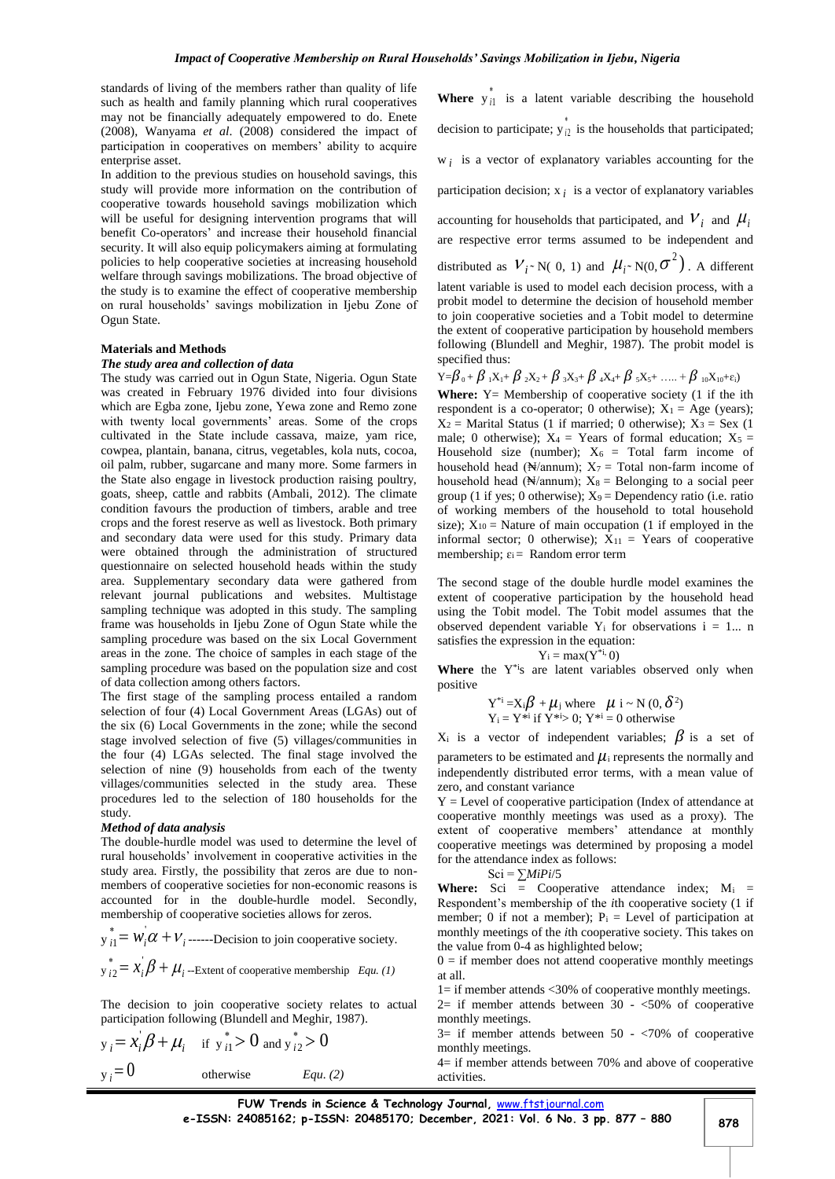standards of living of the members rather than quality of life such as health and family planning which rural cooperatives may not be financially adequately empowered to do. Enete (2008), Wanyama *et al*. (2008) considered the impact of participation in cooperatives on members' ability to acquire enterprise asset.

In addition to the previous studies on household savings, this study will provide more information on the contribution of cooperative towards household savings mobilization which will be useful for designing intervention programs that will benefit Co-operators' and increase their household financial security. It will also equip policymakers aiming at formulating policies to help cooperative societies at increasing household welfare through savings mobilizations. The broad objective of the study is to examine the effect of cooperative membership on rural households' savings mobilization in Ijebu Zone of Ogun State.

## **Materials and Methods**

#### *The study area and collection of data*

The study was carried out in Ogun State, Nigeria. Ogun State was created in February 1976 divided into four divisions which are Egba zone, Ijebu zone, Yewa zone and Remo zone with twenty local governments' areas. Some of the crops cultivated in the State include cassava, maize, yam rice, cowpea, plantain, banana, citrus, vegetables, kola nuts, cocoa, oil palm, rubber, sugarcane and many more. Some farmers in the State also engage in livestock production raising poultry, goats, sheep, cattle and rabbits (Ambali, 2012). The climate condition favours the production of timbers, arable and tree crops and the forest reserve as well as livestock. Both primary and secondary data were used for this study. Primary data were obtained through the administration of structured questionnaire on selected household heads within the study area. Supplementary secondary data were gathered from relevant journal publications and websites. Multistage sampling technique was adopted in this study. The sampling frame was households in Ijebu Zone of Ogun State while the sampling procedure was based on the six Local Government areas in the zone. The choice of samples in each stage of the sampling procedure was based on the population size and cost of data collection among others factors.

The first stage of the sampling process entailed a random selection of four (4) Local Government Areas (LGAs) out of the six (6) Local Governments in the zone; while the second stage involved selection of five (5) villages/communities in the four (4) LGAs selected. The final stage involved the selection of nine (9) households from each of the twenty villages/communities selected in the study area. These procedures led to the selection of 180 households for the study.

#### *Method of data analysis*

The double-hurdle model was used to determine the level of rural households' involvement in cooperative activities in the study area. Firstly, the possibility that zeros are due to nonmembers of cooperative societies for non-economic reasons is accounted for in the double-hurdle model. Secondly, membership of cooperative societies allows for zeros.

$$
y_{i1}^* = W_i \alpha + V_i
$$
 -----Decision to join cooperative society.  

$$
y_{i2}^* = x_i \beta + \mu_i
$$
 -- Extend of cooperative membership *Equ. (1)*

The decision to join cooperative society relates to actual participation following (Blundell and Meghir, 1987).

$$
y_i = x_i \beta + \mu_i
$$
 if  $y_{i1}^* > 0$  and  $y_{i2}^* > 0$   
 $y_i = 0$  otherwise *Equ. (2)*

**Where**  $y_{i1}^*$  is a latent variable describing the household decision to participate;  $y_{i2}^*$  is the households that participated; w *<sup>i</sup>* is a vector of explanatory variables accounting for the

participation decision;  $x_i$  is a vector of explanatory variables

accounting for households that participated, and  $V_i$  and  $\mu_i$ are respective error terms assumed to be independent and distributed as  $V_i$ <sup>\*</sup> N( 0, 1) and  $\mu_i$ <sup>\*</sup> N(0,  $\sigma^2$ ). A different latent variable is used to model each decision process, with a probit model to determine the decision of household member to join cooperative societies and a Tobit model to determine the extent of cooperative participation by household members following (Blundell and Meghir, 1987). The probit model is specified thus:

$$
Y = \beta_{0} + \beta_{1}X_{1} + \beta_{2}X_{2} + \beta_{3}X_{3} + \beta_{4}X_{4} + \beta_{5}X_{5} + \ldots + \beta_{10}X_{10} + \epsilon_{i}
$$

**Where:**  $Y =$  Membership of cooperative society (1 if the ith respondent is a co-operator; 0 otherwise);  $X_1 = A$ ge (years);  $X_2$  = Marital Status (1 if married; 0 otherwise);  $X_3$  = Sex (1 male; 0 otherwise);  $X_4$  = Years of formal education;  $X_5$  = Household size (number);  $X_6$  = Total farm income of household head ( $\mathbb{N}/\text{annum}$ );  $X_7$  = Total non-farm income of household head ( $\mathbb{N}/\text{annum}$ );  $X_8 =$  Belonging to a social peer group (1 if yes; 0 otherwise);  $X_9$  = Dependency ratio (i.e. ratio of working members of the household to total household size);  $X_{10}$  = Nature of main occupation (1 if employed in the informal sector; 0 otherwise);  $X_{11} =$  Years of cooperative membership;  $\varepsilon_i$  = Random error term

The second stage of the double hurdle model examines the extent of cooperative participation by the household head using the Tobit model. The Tobit model assumes that the observed dependent variable  $Y_i$  for observations  $i = 1...$  n satisfies the expression in the equation:

$$
Y_i = max(Y^{*_i}, 0)
$$

Where the Y<sup>\*i</sup>s are latent variables observed only when positive

$$
Y^{*i} = X_i \beta + \mu_j \text{ where } \mu \text{ i } \sim N(0, \delta^2)
$$
  
 
$$
Y_i = Y^{*i} \text{ if } Y^{*i} > 0; Y^{*i} = 0 \text{ otherwise}
$$

 $X_i$  is a vector of independent variables;  $\beta$  is a set of parameters to be estimated and  $\mu_i$  represents the normally and independently distributed error terms, with a mean value of zero, and constant variance

 $Y =$  Level of cooperative participation (Index of attendance at cooperative monthly meetings was used as a proxy). The extent of cooperative members' attendance at monthly cooperative meetings was determined by proposing a model for the attendance index as follows:

$$
\mathrm{Sci} = \sum M_i Pi/5
$$

**Where:** Sci  $=$  Cooperative attendance index;  $M_i =$ Respondent's membership of the *i*th cooperative society (1 if member; 0 if not a member);  $P_i$  = Level of participation at monthly meetings of the *i*th cooperative society. This takes on the value from 0-4 as highlighted below;

 $0 =$  if member does not attend cooperative monthly meetings at all.

 $1=$  if member attends  $\langle 30\% \rangle$  of cooperative monthly meetings.

 $2=$  if member attends between  $30 - 50\%$  of cooperative monthly meetings.

 $3=$  if member attends between  $50 - <70\%$  of cooperative monthly meetings.

4= if member attends between 70% and above of cooperative activities.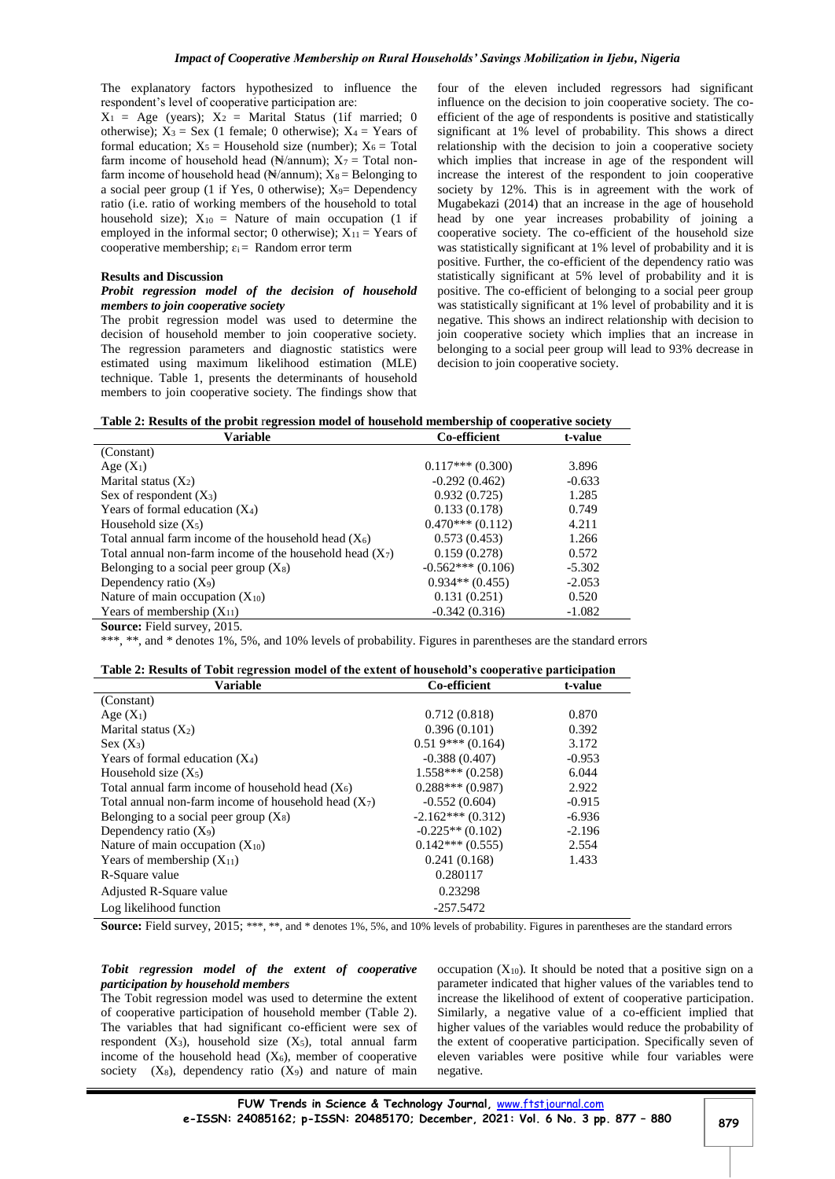The explanatory factors hypothesized to influence the respondent's level of cooperative participation are:

 $X_1$  = Age (years);  $X_2$  = Marital Status (1if married; 0 otherwise);  $X_3$  = Sex (1 female; 0 otherwise);  $X_4$  = Years of formal education;  $X_5$  = Household size (number);  $X_6$  = Total farm income of household head ( $\mathbb{N}/\text{annum}$ );  $X_7$  = Total nonfarm income of household head ( $\mathbb{N}/\text{annum}$ );  $X_8 =$  Belonging to a social peer group (1 if Yes, 0 otherwise);  $X_9$ = Dependency ratio (i.e. ratio of working members of the household to total household size);  $X_{10}$  = Nature of main occupation (1 if employed in the informal sector; 0 otherwise);  $X_{11}$  = Years of cooperative membership;  $\varepsilon_i =$  Random error term

#### **Results and Discussion**

#### *Probit regression model of the decision of household members to join cooperative society*

The probit regression model was used to determine the decision of household member to join cooperative society. The regression parameters and diagnostic statistics were estimated using maximum likelihood estimation (MLE) technique. Table 1, presents the determinants of household members to join cooperative society. The findings show that four of the eleven included regressors had significant influence on the decision to join cooperative society. The coefficient of the age of respondents is positive and statistically significant at 1% level of probability. This shows a direct relationship with the decision to join a cooperative society which implies that increase in age of the respondent will increase the interest of the respondent to join cooperative society by 12%. This is in agreement with the work of Mugabekazi (2014) that an increase in the age of household head by one year increases probability of joining a cooperative society. The co-efficient of the household size was statistically significant at 1% level of probability and it is positive. Further, the co-efficient of the dependency ratio was statistically significant at 5% level of probability and it is positive. The co-efficient of belonging to a social peer group was statistically significant at 1% level of probability and it is negative. This shows an indirect relationship with decision to join cooperative society which implies that an increase in belonging to a social peer group will lead to 93% decrease in decision to join cooperative society.

|  | Table 2: Results of the probit regression model of household membership of cooperative society |  |
|--|------------------------------------------------------------------------------------------------|--|
|  |                                                                                                |  |

| Variable                                                   | Co-efficient       | t-value  |
|------------------------------------------------------------|--------------------|----------|
| (Constant)                                                 |                    |          |
| Age $(X_1)$                                                | $0.117***(0.300)$  | 3.896    |
| Marital status $(X_2)$                                     | $-0.292(0.462)$    | $-0.633$ |
| Sex of respondent $(X_3)$                                  | 0.932(0.725)       | 1.285    |
| Years of formal education $(X_4)$                          | 0.133(0.178)       | 0.749    |
| Household size $(X_5)$                                     | $0.470***(0.112)$  | 4.211    |
| Total annual farm income of the household head $(X_6)$     | 0.573(0.453)       | 1.266    |
| Total annual non-farm income of the household head $(X_7)$ | 0.159(0.278)       | 0.572    |
| Belonging to a social peer group $(X_8)$                   | $-0.562***(0.106)$ | $-5.302$ |
| Dependency ratio $(X_9)$                                   | $0.934**$ (0.455)  | $-2.053$ |
| Nature of main occupation $(X_{10})$                       | 0.131(0.251)       | 0.520    |
| Years of membership $(X_{11})$                             | $-0.342(0.316)$    | $-1.082$ |
| <b>Source:</b> Field survey, 2015.                         |                    |          |

\*\*\*, \*\*, and \* denotes 1%, 5%, and 10% levels of probability. Figures in parentheses are the standard errors

|  |  | Table 2: Results of Tobit regression model of the extent of household's cooperative participation |  |  |  |
|--|--|---------------------------------------------------------------------------------------------------|--|--|--|
|  |  |                                                                                                   |  |  |  |

| <b>Variable</b>                                        | Co-efficient       | t-value  |
|--------------------------------------------------------|--------------------|----------|
| (Constant)                                             |                    |          |
| Age $(X_1)$                                            | 0.712(0.818)       | 0.870    |
| Marital status $(X_2)$                                 | 0.396(0.101)       | 0.392    |
| $Sex(X_3)$                                             | $0.519***(0.164)$  | 3.172    |
| Years of formal education $(X_4)$                      | $-0.388(0.407)$    | $-0.953$ |
| Household size $(X_5)$                                 | $1.558***(0.258)$  | 6.044    |
| Total annual farm income of household head $(X_6)$     | $0.288***(0.987)$  | 2.922    |
| Total annual non-farm income of household head $(X_7)$ | $-0.552(0.604)$    | $-0.915$ |
| Belonging to a social peer group $(X_8)$               | $-2.162***(0.312)$ | $-6.936$ |
| Dependency ratio $(X_9)$                               | $-0.225**$ (0.102) | $-2.196$ |
| Nature of main occupation $(X_{10})$                   | $0.142***(0.555)$  | 2.554    |
| Years of membership $(X_{11})$                         | 0.241(0.168)       | 1.433    |
| R-Square value                                         | 0.280117           |          |
| Adjusted R-Square value                                | 0.23298            |          |
| Log likelihood function                                | $-257.5472$        |          |

Source: Field survey, 2015; \*\*\*, \*\*, and \* denotes 1%, 5%, and 10% levels of probability. Figures in parentheses are the standard errors

## *Tobit regression model of the extent of cooperative participation by household members*

The Tobit regression model was used to determine the extent of cooperative participation of household member (Table 2). The variables that had significant co-efficient were sex of respondent  $(X_3)$ , household size  $(X_5)$ , total annual farm income of the household head  $(X_6)$ , member of cooperative society  $(X_8)$ , dependency ratio  $(X_9)$  and nature of main

occupation  $(X_{10})$ . It should be noted that a positive sign on a parameter indicated that higher values of the variables tend to increase the likelihood of extent of cooperative participation. Similarly, a negative value of a co-efficient implied that higher values of the variables would reduce the probability of the extent of cooperative participation. Specifically seven of eleven variables were positive while four variables were negative.